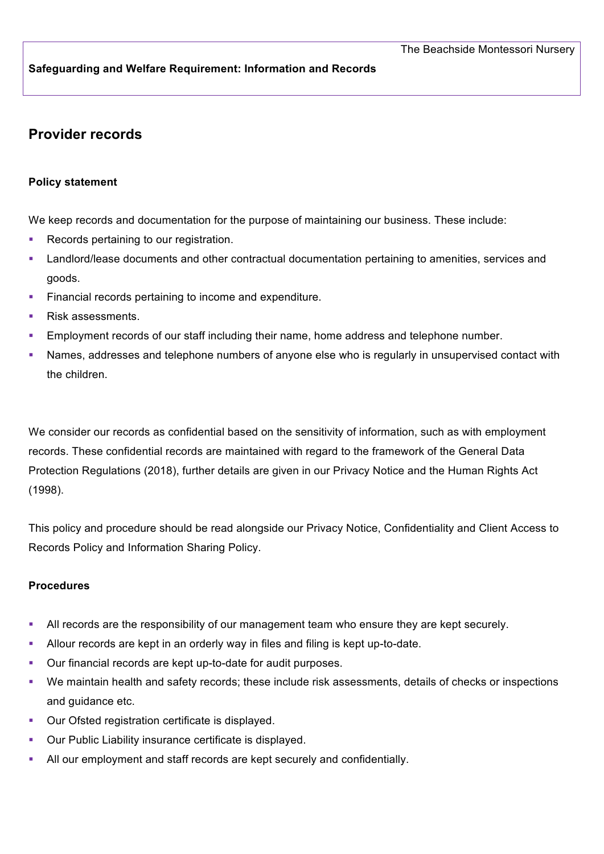### **Safeguarding and Welfare Requirement: Information and Records**

# **Provider records**

#### **Policy statement**

We keep records and documentation for the purpose of maintaining our business. These include:

- Records pertaining to our registration.
- **■** Landlord/lease documents and other contractual documentation pertaining to amenities, services and goods.
- **•** Financial records pertaining to income and expenditure.
- § Risk assessments.
- **Employment records of our staff including their name, home address and telephone number.**
- § Names, addresses and telephone numbers of anyone else who is regularly in unsupervised contact with the children.

We consider our records as confidential based on the sensitivity of information, such as with employment records. These confidential records are maintained with regard to the framework of the General Data Protection Regulations (2018), further details are given in our Privacy Notice and the Human Rights Act (1998).

This policy and procedure should be read alongside our Privacy Notice, Confidentiality and Client Access to Records Policy and Information Sharing Policy.

#### **Procedures**

- All records are the responsibility of our management team who ensure they are kept securely.
- § Allour records are kept in an orderly way in files and filing is kept up-to-date.
- Our financial records are kept up-to-date for audit purposes.
- § We maintain health and safety records; these include risk assessments, details of checks or inspections and guidance etc.
- Our Ofsted registration certificate is displayed.
- § Our Public Liability insurance certificate is displayed.
- All our employment and staff records are kept securely and confidentially.